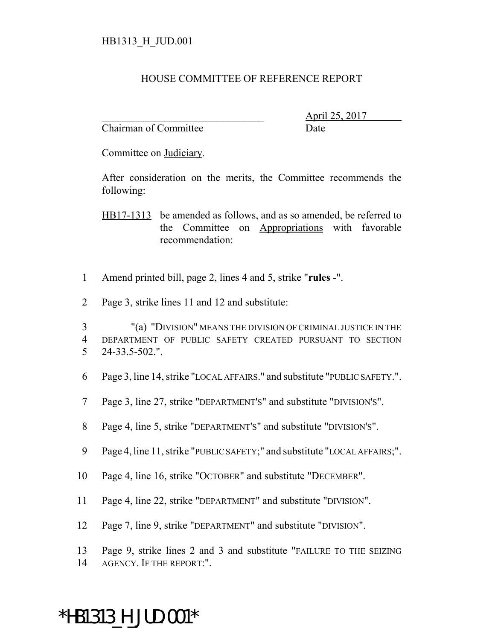## HOUSE COMMITTEE OF REFERENCE REPORT

Chairman of Committee Date

\_\_\_\_\_\_\_\_\_\_\_\_\_\_\_\_\_\_\_\_\_\_\_\_\_\_\_\_\_\_\_ April 25, 2017

Committee on Judiciary.

After consideration on the merits, the Committee recommends the following:

HB17-1313 be amended as follows, and as so amended, be referred to the Committee on Appropriations with favorable recommendation:

- 1 Amend printed bill, page 2, lines 4 and 5, strike "**rules -**".
- 2 Page 3, strike lines 11 and 12 and substitute:

3 "(a) "DIVISION" MEANS THE DIVISION OF CRIMINAL JUSTICE IN THE 4 DEPARTMENT OF PUBLIC SAFETY CREATED PURSUANT TO SECTION 5 24-33.5-502.".

- 6 Page 3, line 14, strike "LOCAL AFFAIRS." and substitute "PUBLIC SAFETY.".
- 7 Page 3, line 27, strike "DEPARTMENT'S" and substitute "DIVISION'S".
- 8 Page 4, line 5, strike "DEPARTMENT'S" and substitute "DIVISION'S".
- 9 Page 4, line 11, strike "PUBLIC SAFETY;" and substitute "LOCAL AFFAIRS;".
- 10 Page 4, line 16, strike "OCTOBER" and substitute "DECEMBER".
- 11 Page 4, line 22, strike "DEPARTMENT" and substitute "DIVISION".
- 12 Page 7, line 9, strike "DEPARTMENT" and substitute "DIVISION".
- 13 Page 9, strike lines 2 and 3 and substitute "FAILURE TO THE SEIZING
- 14 AGENCY. IF THE REPORT:".

## \*HB1313\_H\_JUD.001\*